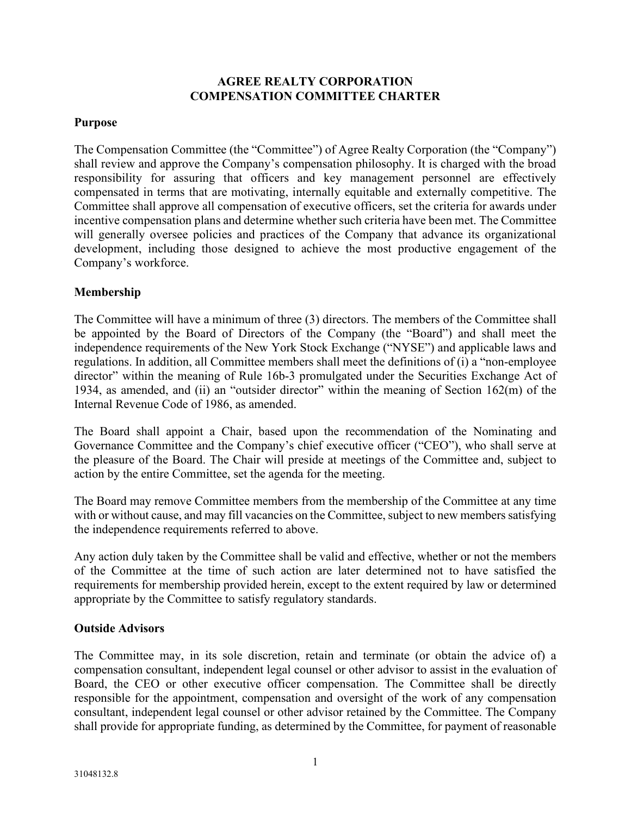# **AGREE REALTY CORPORATION COMPENSATION COMMITTEE CHARTER**

## **Purpose**

The Compensation Committee (the "Committee") of Agree Realty Corporation (the "Company") shall review and approve the Company's compensation philosophy. It is charged with the broad responsibility for assuring that officers and key management personnel are effectively compensated in terms that are motivating, internally equitable and externally competitive. The Committee shall approve all compensation of executive officers, set the criteria for awards under incentive compensation plans and determine whether such criteria have been met. The Committee will generally oversee policies and practices of the Company that advance its organizational development, including those designed to achieve the most productive engagement of the Company's workforce.

## **Membership**

The Committee will have a minimum of three (3) directors. The members of the Committee shall be appointed by the Board of Directors of the Company (the "Board") and shall meet the independence requirements of the New York Stock Exchange ("NYSE") and applicable laws and regulations. In addition, all Committee members shall meet the definitions of (i) a "non-employee director" within the meaning of Rule 16b-3 promulgated under the Securities Exchange Act of 1934, as amended, and (ii) an "outsider director" within the meaning of Section 162(m) of the Internal Revenue Code of 1986, as amended.

The Board shall appoint a Chair, based upon the recommendation of the Nominating and Governance Committee and the Company's chief executive officer ("CEO"), who shall serve at the pleasure of the Board. The Chair will preside at meetings of the Committee and, subject to action by the entire Committee, set the agenda for the meeting.

The Board may remove Committee members from the membership of the Committee at any time with or without cause, and may fill vacancies on the Committee, subject to new members satisfying the independence requirements referred to above.

Any action duly taken by the Committee shall be valid and effective, whether or not the members of the Committee at the time of such action are later determined not to have satisfied the requirements for membership provided herein, except to the extent required by law or determined appropriate by the Committee to satisfy regulatory standards.

## **Outside Advisors**

The Committee may, in its sole discretion, retain and terminate (or obtain the advice of) a compensation consultant, independent legal counsel or other advisor to assist in the evaluation of Board, the CEO or other executive officer compensation. The Committee shall be directly responsible for the appointment, compensation and oversight of the work of any compensation consultant, independent legal counsel or other advisor retained by the Committee. The Company shall provide for appropriate funding, as determined by the Committee, for payment of reasonable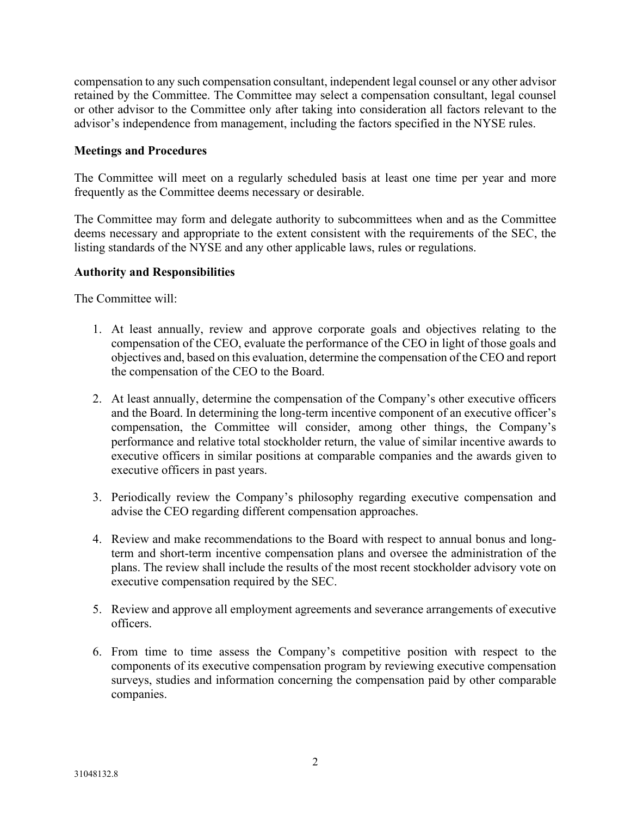compensation to any such compensation consultant, independent legal counsel or any other advisor retained by the Committee. The Committee may select a compensation consultant, legal counsel or other advisor to the Committee only after taking into consideration all factors relevant to the advisor's independence from management, including the factors specified in the NYSE rules.

#### **Meetings and Procedures**

The Committee will meet on a regularly scheduled basis at least one time per year and more frequently as the Committee deems necessary or desirable.

The Committee may form and delegate authority to subcommittees when and as the Committee deems necessary and appropriate to the extent consistent with the requirements of the SEC, the listing standards of the NYSE and any other applicable laws, rules or regulations.

#### **Authority and Responsibilities**

The Committee will:

- 1. At least annually, review and approve corporate goals and objectives relating to the compensation of the CEO, evaluate the performance of the CEO in light of those goals and objectives and, based on this evaluation, determine the compensation of the CEO and report the compensation of the CEO to the Board.
- 2. At least annually, determine the compensation of the Company's other executive officers and the Board. In determining the long-term incentive component of an executive officer's compensation, the Committee will consider, among other things, the Company's performance and relative total stockholder return, the value of similar incentive awards to executive officers in similar positions at comparable companies and the awards given to executive officers in past years.
- 3. Periodically review the Company's philosophy regarding executive compensation and advise the CEO regarding different compensation approaches.
- 4. Review and make recommendations to the Board with respect to annual bonus and longterm and short-term incentive compensation plans and oversee the administration of the plans. The review shall include the results of the most recent stockholder advisory vote on executive compensation required by the SEC.
- 5. Review and approve all employment agreements and severance arrangements of executive officers.
- 6. From time to time assess the Company's competitive position with respect to the components of its executive compensation program by reviewing executive compensation surveys, studies and information concerning the compensation paid by other comparable companies.